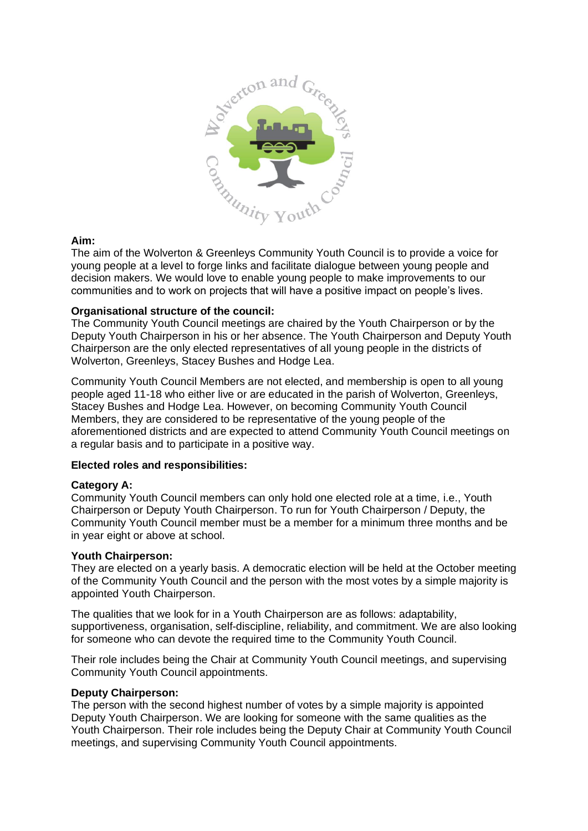

## **Aim:**

The aim of the Wolverton & Greenleys Community Youth Council is to provide a voice for young people at a level to forge links and facilitate dialogue between young people and decision makers. We would love to enable young people to make improvements to our communities and to work on projects that will have a positive impact on people's lives.

## **Organisational structure of the council:**

The Community Youth Council meetings are chaired by the Youth Chairperson or by the Deputy Youth Chairperson in his or her absence. The Youth Chairperson and Deputy Youth Chairperson are the only elected representatives of all young people in the districts of Wolverton, Greenleys, Stacey Bushes and Hodge Lea.

Community Youth Council Members are not elected, and membership is open to all young people aged 11-18 who either live or are educated in the parish of Wolverton, Greenleys, Stacey Bushes and Hodge Lea. However, on becoming Community Youth Council Members, they are considered to be representative of the young people of the aforementioned districts and are expected to attend Community Youth Council meetings on a regular basis and to participate in a positive way.

#### **Elected roles and responsibilities:**

# **Category A:**

Community Youth Council members can only hold one elected role at a time, i.e., Youth Chairperson or Deputy Youth Chairperson. To run for Youth Chairperson / Deputy, the Community Youth Council member must be a member for a minimum three months and be in year eight or above at school.

#### **Youth Chairperson:**

They are elected on a yearly basis. A democratic election will be held at the October meeting of the Community Youth Council and the person with the most votes by a simple majority is appointed Youth Chairperson.

The qualities that we look for in a Youth Chairperson are as follows: adaptability, supportiveness, organisation, self-discipline, reliability, and commitment. We are also looking for someone who can devote the required time to the Community Youth Council.

Their role includes being the Chair at Community Youth Council meetings, and supervising Community Youth Council appointments.

#### **Deputy Chairperson:**

The person with the second highest number of votes by a simple majority is appointed Deputy Youth Chairperson. We are looking for someone with the same qualities as the Youth Chairperson. Their role includes being the Deputy Chair at Community Youth Council meetings, and supervising Community Youth Council appointments.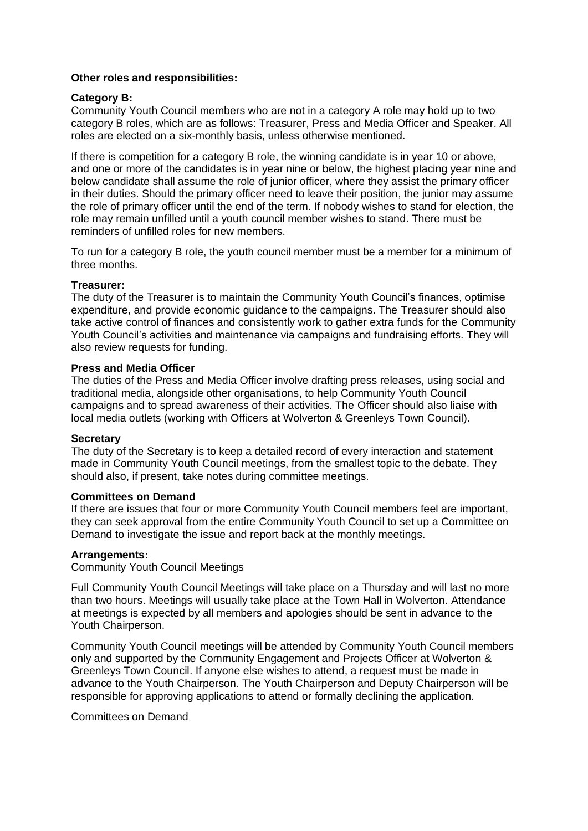### **Other roles and responsibilities:**

## **Category B:**

Community Youth Council members who are not in a category A role may hold up to two category B roles, which are as follows: Treasurer, Press and Media Officer and Speaker. All roles are elected on a six-monthly basis, unless otherwise mentioned.

If there is competition for a category B role, the winning candidate is in year 10 or above, and one or more of the candidates is in year nine or below, the highest placing year nine and below candidate shall assume the role of junior officer, where they assist the primary officer in their duties. Should the primary officer need to leave their position, the junior may assume the role of primary officer until the end of the term. If nobody wishes to stand for election, the role may remain unfilled until a youth council member wishes to stand. There must be reminders of unfilled roles for new members.

To run for a category B role, the youth council member must be a member for a minimum of three months.

## **Treasurer:**

The duty of the Treasurer is to maintain the Community Youth Council's finances, optimise expenditure, and provide economic guidance to the campaigns. The Treasurer should also take active control of finances and consistently work to gather extra funds for the Community Youth Council's activities and maintenance via campaigns and fundraising efforts. They will also review requests for funding.

#### **Press and Media Officer**

The duties of the Press and Media Officer involve drafting press releases, using social and traditional media, alongside other organisations, to help Community Youth Council campaigns and to spread awareness of their activities. The Officer should also liaise with local media outlets (working with Officers at Wolverton & Greenleys Town Council).

#### **Secretary**

The duty of the Secretary is to keep a detailed record of every interaction and statement made in Community Youth Council meetings, from the smallest topic to the debate. They should also, if present, take notes during committee meetings.

#### **Committees on Demand**

If there are issues that four or more Community Youth Council members feel are important, they can seek approval from the entire Community Youth Council to set up a Committee on Demand to investigate the issue and report back at the monthly meetings.

## **Arrangements:**

Community Youth Council Meetings

Full Community Youth Council Meetings will take place on a Thursday and will last no more than two hours. Meetings will usually take place at the Town Hall in Wolverton. Attendance at meetings is expected by all members and apologies should be sent in advance to the Youth Chairperson.

Community Youth Council meetings will be attended by Community Youth Council members only and supported by the Community Engagement and Projects Officer at Wolverton & Greenleys Town Council. If anyone else wishes to attend, a request must be made in advance to the Youth Chairperson. The Youth Chairperson and Deputy Chairperson will be responsible for approving applications to attend or formally declining the application.

Committees on Demand